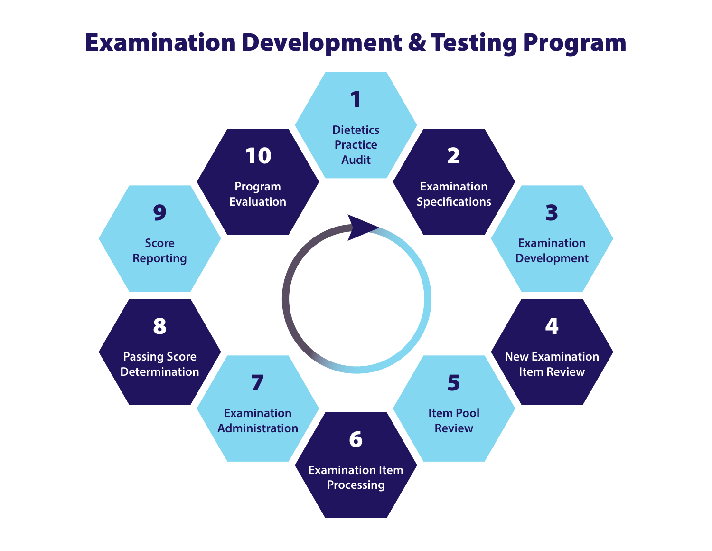# Examination Development & Testing Program